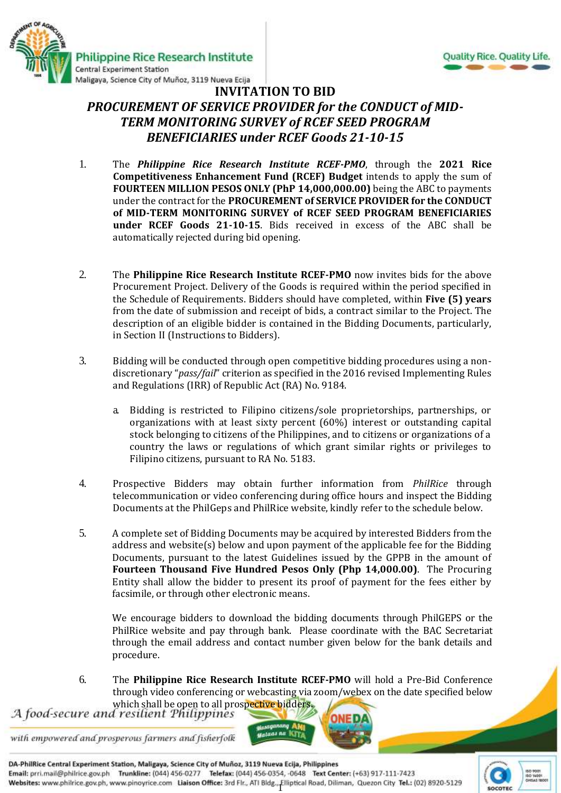



## **INVITATION TO BID** *PROCUREMENT OF SERVICE PROVIDER for the CONDUCT of MID-TERM MONITORING SURVEY of RCEF SEED PROGRAM BENEFICIARIES under RCEF Goods 21-10-15*

- 1. The *Philippine Rice Research Institute RCEF-PMO*, through the **2021 Rice Competitiveness Enhancement Fund (RCEF) Budget** intends to apply the sum of **FOURTEEN MILLION PESOS ONLY (PhP 14,000,000.00)** being the ABC to payments under the contract for the **PROCUREMENT of SERVICE PROVIDER for the CONDUCT of MID-TERM MONITORING SURVEY of RCEF SEED PROGRAM BENEFICIARIES under RCEF Goods 21-10-15**. Bids received in excess of the ABC shall be automatically rejected during bid opening.
- 2. The **Philippine Rice Research Institute RCEF-PMO** now invites bids for the above Procurement Project. Delivery of the Goods is required within the period specified in the Schedule of Requirements. Bidders should have completed, within **Five (5) years** from the date of submission and receipt of bids, a contract similar to the Project. The description of an eligible bidder is contained in the Bidding Documents, particularly, in Section II (Instructions to Bidders).
- 3. Bidding will be conducted through open competitive bidding procedures using a nondiscretionary "*pass/fail*" criterion as specified in the 2016 revised Implementing Rules and Regulations (IRR) of Republic Act (RA) No. 9184.
	- a. Bidding is restricted to Filipino citizens/sole proprietorships, partnerships, or organizations with at least sixty percent (60%) interest or outstanding capital stock belonging to citizens of the Philippines, and to citizens or organizations of a country the laws or regulations of which grant similar rights or privileges to Filipino citizens, pursuant to RA No. 5183.
- 4. Prospective Bidders may obtain further information from *PhilRice* through telecommunication or video conferencing during office hours and inspect the Bidding Documents at the PhilGeps and PhilRice website, kindly refer to the schedule below.
- 5. A complete set of Bidding Documents may be acquired by interested Bidders from the address and website(s) below and upon payment of the applicable fee for the Bidding Documents, pursuant to the latest Guidelines issued by the GPPB in the amount of **Fourteen Thousand Five Hundred Pesos Only (Php 14,000.00)**. The Procuring Entity shall allow the bidder to present its proof of payment for the fees either by facsimile, or through other electronic means.

We encourage bidders to download the bidding documents through PhilGEPS or the PhilRice website and pay through bank. Please coordinate with the BAC Secretariat through the email address and contact number given below for the bank details and procedure.

6. The **Philippine Rice Research Institute RCEF-PMO** will hold a Pre-Bid Conference through video conferencing or webcasting via zoom/webex on the date specified below

which shall be open to all prospective bidders.<br>A food-secure and resilient Philippines

with empowered and prosperous farmers and fisherfolk

DA-PhilRice Central Experiment Station, Maligaya, Science City of Muñoz, 3119 Nueva Ecija, Philippines Email: prri.mail@philrice.gov.ph Trunkline: (044) 456-0277 Telefax: (044) 456-0354, -0648 Text Center: (+63) 917-111-7423 Websites: www.philrice.gov.ph, www.pinoyrice.com Liaison Office: 3rd Flr., ATI Bldg., Elliptical Road, Diliman, Quezon City Tel.: (02) 8920-5129

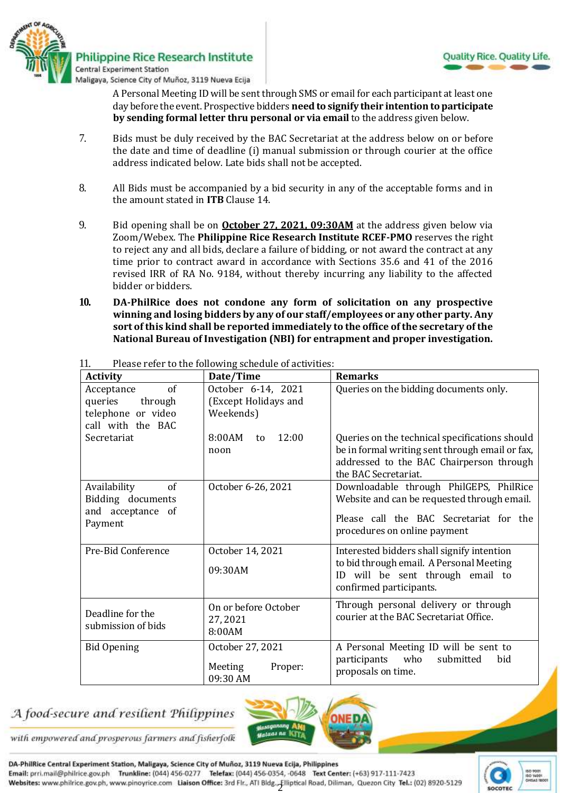

A Personal Meeting ID will be sent through SMS or email for each participant at least one day before the event. Prospective bidders **need to signify their intention to participate by sending formal letter thru personal or via email** to the address given below.

- 7. Bids must be duly received by the BAC Secretariat at the address below on or before the date and time of deadline (i) manual submission or through courier at the office address indicated below*.* Late bids shall not be accepted.
- 8. All Bids must be accompanied by a bid security in any of the acceptable forms and in the amount stated in **ITB** Clause 14.
- 9. Bid opening shall be on **October 27, 2021, 09:30AM** at the address given below via Zoom/Webex. The **Philippine Rice Research Institute RCEF-PMO** reserves the right to reject any and all bids, declare a failure of bidding, or not award the contract at any time prior to contract award in accordance with Sections 35.6 and 41 of the 2016 revised IRR of RA No. 9184, without thereby incurring any liability to the affected bidder or bidders.
- **10. DA-PhilRice does not condone any form of solicitation on any prospective winning and losing bidders by any of our staff/employees or any other party. Any sort of this kind shall be reported immediately to the office of the secretary of the National Bureau of Investigation (NBI) for entrapment and proper investigation.**

| <b>Activity</b>                                                                   | Date/Time                                               | <b>Remarks</b>                                                                                                                                                        |
|-----------------------------------------------------------------------------------|---------------------------------------------------------|-----------------------------------------------------------------------------------------------------------------------------------------------------------------------|
| of<br>Acceptance<br>queries<br>through<br>telephone or video<br>call with the BAC | October 6-14, 2021<br>(Except Holidays and<br>Weekends) | Queries on the bidding documents only.                                                                                                                                |
| Secretariat                                                                       | 8:00AM<br>12:00<br>to<br>noon                           | Queries on the technical specifications should<br>be in formal writing sent through email or fax,<br>addressed to the BAC Chairperson through<br>the BAC Secretariat. |
| Availability<br>of<br>Bidding documents<br>and acceptance of<br>Payment           | October 6-26, 2021                                      | Downloadable through PhilGEPS, PhilRice<br>Website and can be requested through email.<br>Please call the BAC Secretariat for the<br>procedures on online payment     |
| Pre-Bid Conference                                                                | October 14, 2021<br>09:30AM                             | Interested bidders shall signify intention<br>to bid through email. A Personal Meeting<br>will be sent through email to<br>ID<br>confirmed participants.              |
| Deadline for the<br>submission of bids                                            | On or before October<br>27, 2021<br>8:00AM              | Through personal delivery or through<br>courier at the BAC Secretariat Office.                                                                                        |
| <b>Bid Opening</b>                                                                | October 27, 2021<br>Meeting<br>Proper:<br>09:30 AM      | A Personal Meeting ID will be sent to<br>participants<br>who<br>submitted<br>bid<br>proposals on time.                                                                |

11. Please refer to the following schedule of activities:

## A food-secure and resilient Philippines



with empowered and prosperous farmers and fisherfolk

DA-PhilRice Central Experiment Station, Maligaya, Science City of Muñoz, 3119 Nueva Ecija, Philippines Email: prri.mail@philrice.gov.ph Trunkline: (044) 456-0277 Telefax: (044) 456-0354, -0648 Text Center: (+63) 917-111-7423 Websites: www.philrice.gov.ph, www.pinoyrice.com Liaison Office: 3rd Flr., ATI Bldg., Elliptical Road, Diliman, Quezon City Tel.: (02) 8920-5129